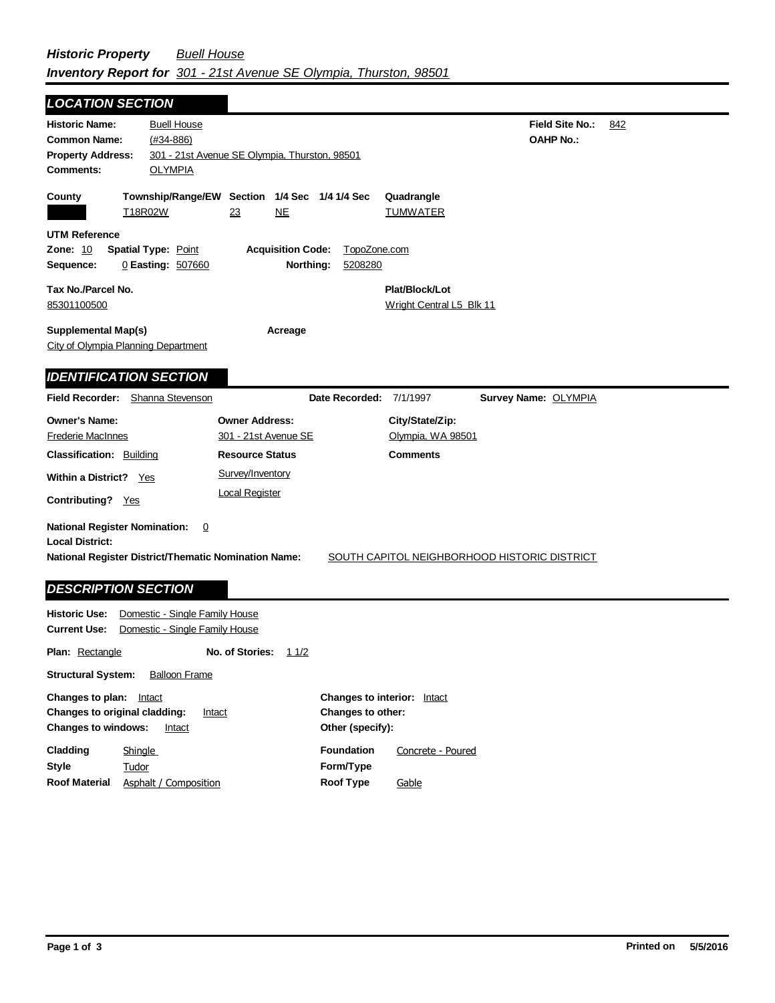ī

| <b>LOCATION SECTION</b>                                                                                     |                                |                                                           |                         |                               |                        |     |
|-------------------------------------------------------------------------------------------------------------|--------------------------------|-----------------------------------------------------------|-------------------------|-------------------------------|------------------------|-----|
| <b>Historic Name:</b>                                                                                       | <b>Buell House</b>             |                                                           |                         |                               | <b>Field Site No.:</b> | 842 |
| <b>Common Name:</b>                                                                                         | $(#34 - 886)$                  |                                                           |                         |                               | <b>OAHP No.:</b>       |     |
| <b>Property Address:</b>                                                                                    |                                | 301 - 21st Avenue SE Olympia, Thurston, 98501             |                         |                               |                        |     |
| <b>Comments:</b>                                                                                            | <b>OLYMPIA</b>                 |                                                           |                         |                               |                        |     |
|                                                                                                             |                                |                                                           |                         |                               |                        |     |
| County                                                                                                      | T <sub>18R02W</sub>            | Township/Range/EW Section 1/4 Sec 1/4 1/4 Sec<br>NE<br>23 |                         | Quadrangle<br><b>TUMWATER</b> |                        |     |
|                                                                                                             |                                |                                                           |                         |                               |                        |     |
| <b>UTM Reference</b>                                                                                        |                                |                                                           |                         |                               |                        |     |
| <b>Zone: 10</b>                                                                                             | <b>Spatial Type: Point</b>     | <b>Acquisition Code:</b>                                  | TopoZone.com            |                               |                        |     |
| Sequence:                                                                                                   | 0 Easting: 507660              | Northing:                                                 | 5208280                 |                               |                        |     |
| Tax No./Parcel No.                                                                                          | Plat/Block/Lot                 |                                                           |                         |                               |                        |     |
| 85301100500                                                                                                 |                                |                                                           |                         | Wright Central L5 Blk 11      |                        |     |
|                                                                                                             |                                |                                                           |                         |                               |                        |     |
| <b>Supplemental Map(s)</b>                                                                                  |                                | Acreage                                                   |                         |                               |                        |     |
| City of Olympia Planning Department                                                                         |                                |                                                           |                         |                               |                        |     |
| <b>IDENTIFICATION SECTION</b>                                                                               |                                |                                                           |                         |                               |                        |     |
|                                                                                                             |                                |                                                           |                         |                               |                        |     |
| <b>Field Recorder:</b>                                                                                      | Shanna Stevenson               |                                                           | Date Recorded: 7/1/1997 |                               | Survey Name: OLYMPIA   |     |
| <b>Owner's Name:</b>                                                                                        |                                | <b>Owner Address:</b>                                     |                         | City/State/Zip:               |                        |     |
| <b>Frederie MacInnes</b>                                                                                    |                                | 301 - 21st Avenue SE                                      |                         | Olympia, WA 98501             |                        |     |
| <b>Classification: Building</b>                                                                             |                                | <b>Resource Status</b>                                    |                         | <b>Comments</b>               |                        |     |
| Within a District? Yes                                                                                      |                                | Survey/Inventory                                          |                         |                               |                        |     |
|                                                                                                             |                                | <b>Local Register</b>                                     |                         |                               |                        |     |
| <b>Contributing?</b> Yes                                                                                    |                                |                                                           |                         |                               |                        |     |
| <b>National Register Nomination:</b>                                                                        | $\overline{0}$                 |                                                           |                         |                               |                        |     |
| <b>Local District:</b>                                                                                      |                                |                                                           |                         |                               |                        |     |
| <b>National Register District/Thematic Nomination Name:</b><br>SOUTH CAPITOL NEIGHBORHOOD HISTORIC DISTRICT |                                |                                                           |                         |                               |                        |     |
|                                                                                                             |                                |                                                           |                         |                               |                        |     |
| <b>DESCRIPTION SECTION</b>                                                                                  |                                |                                                           |                         |                               |                        |     |
| <b>Historic Use:</b>                                                                                        | Domestic - Single Family House |                                                           |                         |                               |                        |     |
| <b>Current Use:</b>                                                                                         | Domestic - Single Family House |                                                           |                         |                               |                        |     |
|                                                                                                             |                                |                                                           |                         |                               |                        |     |
| <b>Plan: Rectangle</b>                                                                                      |                                | No. of Stories:<br>11/2                                   |                         |                               |                        |     |

**Structural System:** Balloon Frame

| Changes to plan:<br>Intact<br>Changes to original cladding:<br>Intact<br><b>Changes to windows:</b><br>Intact |                       | <b>Changes to interior:</b><br>Intact<br>Changes to other:<br>Other (specify): |                   |  |
|---------------------------------------------------------------------------------------------------------------|-----------------------|--------------------------------------------------------------------------------|-------------------|--|
| Cladding                                                                                                      | <b>Shingle</b>        | <b>Foundation</b>                                                              | Concrete - Poured |  |
| Style                                                                                                         | Tudor                 | Form/Type                                                                      |                   |  |
| <b>Roof Material</b>                                                                                          | Asphalt / Composition | Roof Type                                                                      | Gable             |  |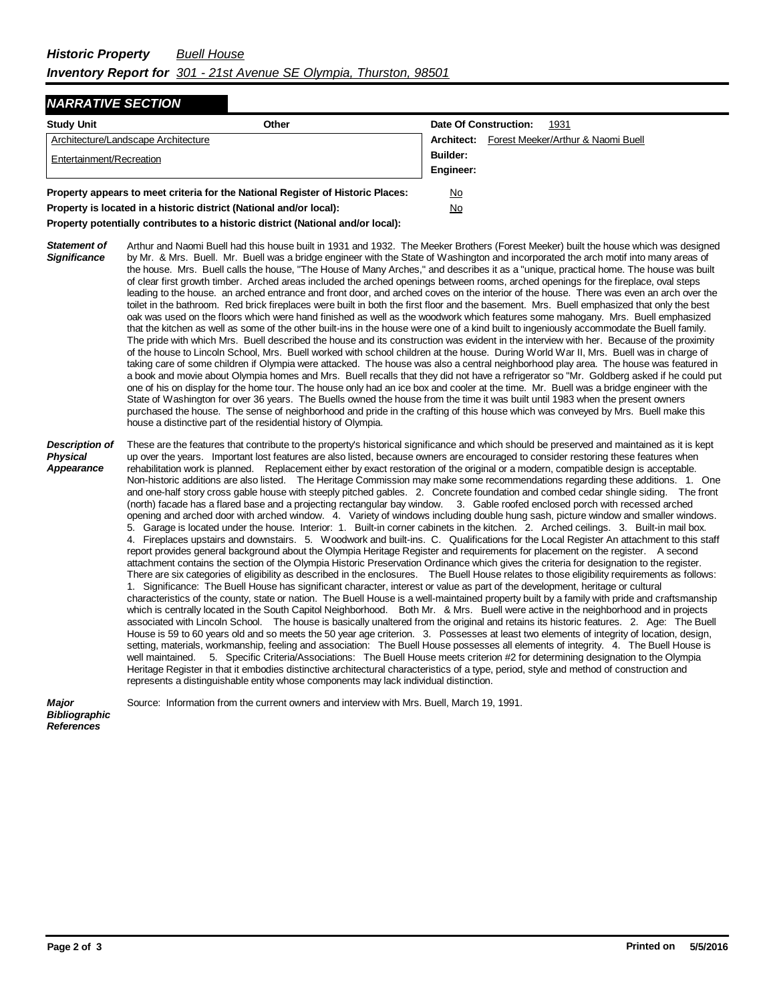## *NARRATIVE SECTION*

| <b>Study Unit</b>                                                               | Other |                 | Date Of Construction:<br>1931                        |
|---------------------------------------------------------------------------------|-------|-----------------|------------------------------------------------------|
| Architecture/Landscape Architecture                                             |       |                 | <b>Architect:</b> Forest Meeker/Arthur & Naomi Buell |
| Entertainment/Recreation                                                        |       | <b>Builder:</b> |                                                      |
|                                                                                 |       | Engineer:       |                                                      |
| Property appears to meet criteria for the National Register of Historic Places: |       | <u>No</u>       |                                                      |
| Property is located in a historic district (National and/or local):             |       | <u>No</u>       |                                                      |

**Property potentially contributes to a historic district (National and/or local):**

*Statement of Significance* Arthur and Naomi Buell had this house built in 1931 and 1932. The Meeker Brothers (Forest Meeker) built the house which was designed by Mr. & Mrs. Buell. Mr. Buell was a bridge engineer with the State of Washington and incorporated the arch motif into many areas of the house. Mrs. Buell calls the house, "The House of Many Arches," and describes it as a "unique, practical home. The house was built of clear first growth timber. Arched areas included the arched openings between rooms, arched openings for the fireplace, oval steps leading to the house. an arched entrance and front door, and arched coves on the interior of the house. There was even an arch over the toilet in the bathroom. Red brick fireplaces were built in both the first floor and the basement. Mrs. Buell emphasized that only the best oak was used on the floors which were hand finished as well as the woodwork which features some mahogany. Mrs. Buell emphasized that the kitchen as well as some of the other built-ins in the house were one of a kind built to ingeniously accommodate the Buell family. The pride with which Mrs. Buell described the house and its construction was evident in the interview with her. Because of the proximity of the house to Lincoln School, Mrs. Buell worked with school children at the house. During World War II, Mrs. Buell was in charge of taking care of some children if Olympia were attacked. The house was also a central neighborhood play area. The house was featured in a book and movie about Olympia homes and Mrs. Buell recalls that they did not have a refrigerator so "Mr. Goldberg asked if he could put one of his on display for the home tour. The house only had an ice box and cooler at the time. Mr. Buell was a bridge engineer with the State of Washington for over 36 years. The Buells owned the house from the time it was built until 1983 when the present owners purchased the house. The sense of neighborhood and pride in the crafting of this house which was conveyed by Mrs. Buell make this house a distinctive part of the residential history of Olympia.

## *Description of Physical Appearance* These are the features that contribute to the property's historical significance and which should be preserved and maintained as it is kept up over the years. Important lost features are also listed, because owners are encouraged to consider restoring these features when rehabilitation work is planned. Replacement either by exact restoration of the original or a modern, compatible design is acceptable. Non-historic additions are also listed. The Heritage Commission may make some recommendations regarding these additions. 1. One and one-half story cross gable house with steeply pitched gables. 2. Concrete foundation and combed cedar shingle siding. The front (north) facade has a flared base and a projecting rectangular bay window. 3. Gable roofed enclosed porch with recessed arched opening and arched door with arched window. 4. Variety of windows including double hung sash, picture window and smaller windows. 5. Garage is located under the house. Interior: 1. Built-in corner cabinets in the kitchen. 2. Arched ceilings. 3. Built-in mail box. 4. Fireplaces upstairs and downstairs. 5. Woodwork and built-ins. C. Qualifications for the Local Register An attachment to this staff report provides general background about the Olympia Heritage Register and requirements for placement on the register. A second attachment contains the section of the Olympia Historic Preservation Ordinance which gives the criteria for designation to the register. There are six categories of eligibility as described in the enclosures. The Buell House relates to those eligibility requirements as follows: 1. Significance: The Buell House has significant character, interest or value as part of the development, heritage or cultural characteristics of the county, state or nation. The Buell House is a well-maintained property built by a family with pride and craftsmanship which is centrally located in the South Capitol Neighborhood. Both Mr. & Mrs. Buell were active in the neighborhood and in projects associated with Lincoln School. The house is basically unaltered from the original and retains its historic features. 2. Age: The Buell House is 59 to 60 years old and so meets the 50 year age criterion. 3. Possesses at least two elements of integrity of location, design, setting, materials, workmanship, feeling and association: The Buell House possesses all elements of integrity. 4. The Buell House is well maintained. 5. Specific Criteria/Associations: The Buell House meets criterion #2 for determining designation to the Olympia Heritage Register in that it embodies distinctive architectural characteristics of a type, period, style and method of construction and represents a distinguishable entity whose components may lack individual distinction.

Source: Information from the current owners and interview with Mrs. Buell, March 19, 1991.

*Bibliographic References*

*Major*